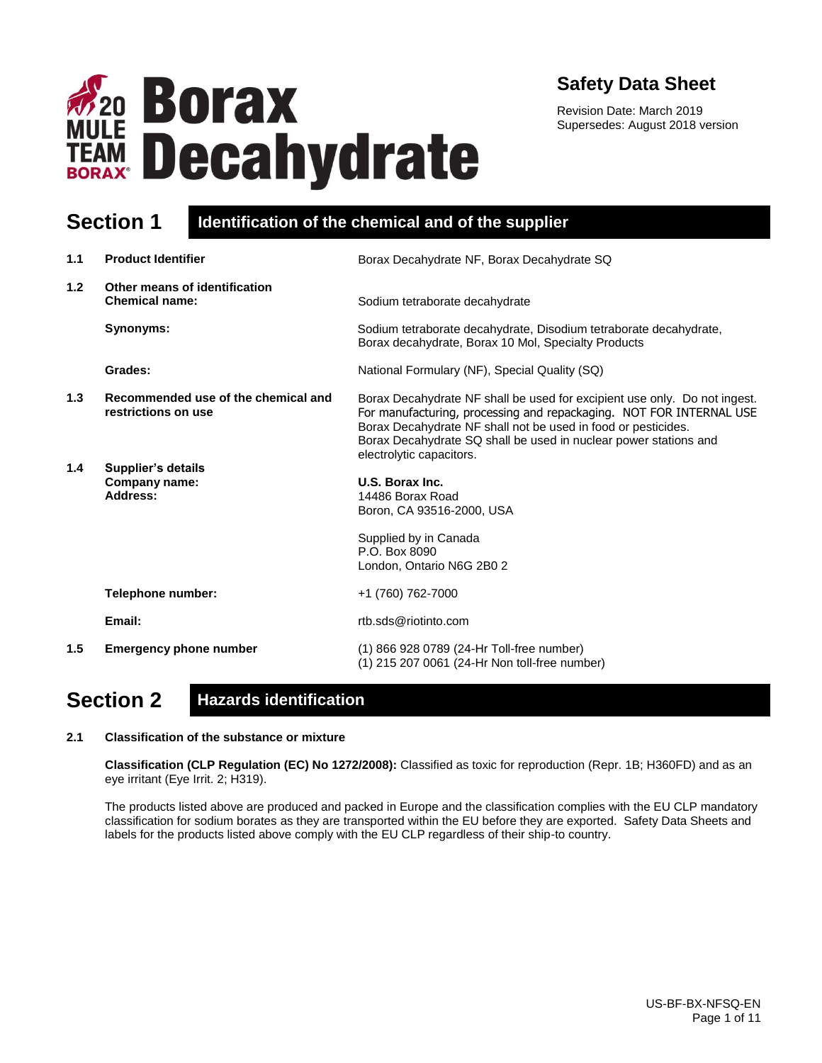

# **Safety Data Sheet**

Revision Date: March 2019 Supersedes: August 2018 version

## **Section 1 Identification of the chemical and of the supplier**

| 1.1 | <b>Product Identifier</b>                                  | Borax Decahydrate NF, Borax Decahydrate SQ                                                                                                                                                                                                                                                                        |  |
|-----|------------------------------------------------------------|-------------------------------------------------------------------------------------------------------------------------------------------------------------------------------------------------------------------------------------------------------------------------------------------------------------------|--|
| 1.2 | Other means of identification<br><b>Chemical name:</b>     | Sodium tetraborate decahydrate                                                                                                                                                                                                                                                                                    |  |
|     | Synonyms:                                                  | Sodium tetraborate decahydrate, Disodium tetraborate decahydrate,<br>Borax decahydrate, Borax 10 Mol, Specialty Products                                                                                                                                                                                          |  |
|     | Grades:                                                    | National Formulary (NF), Special Quality (SQ)                                                                                                                                                                                                                                                                     |  |
| 1.3 | Recommended use of the chemical and<br>restrictions on use | Borax Decahydrate NF shall be used for excipient use only. Do not ingest.<br>For manufacturing, processing and repackaging. NOT FOR INTERNAL USE<br>Borax Decahydrate NF shall not be used in food or pesticides.<br>Borax Decahydrate SQ shall be used in nuclear power stations and<br>electrolytic capacitors. |  |
| 1.4 | <b>Supplier's details</b><br>Company name:<br>Address:     | U.S. Borax Inc.<br>14486 Borax Road<br>Boron, CA 93516-2000, USA<br>Supplied by in Canada                                                                                                                                                                                                                         |  |
|     |                                                            | P.O. Box 8090<br>London, Ontario N6G 2B0 2                                                                                                                                                                                                                                                                        |  |
|     | Telephone number:                                          | +1 (760) 762-7000                                                                                                                                                                                                                                                                                                 |  |
|     | Email:                                                     | rtb.sds@riotinto.com                                                                                                                                                                                                                                                                                              |  |
| 1.5 | <b>Emergency phone number</b>                              | (1) 866 928 0789 (24-Hr Toll-free number)<br>(1) 215 207 0061 (24-Hr Non toll-free number)                                                                                                                                                                                                                        |  |

# **Section 2 Hazards identification**

#### **2.1 Classification of the substance or mixture**

**Classification (CLP Regulation (EC) No 1272/2008):** Classified as toxic for reproduction (Repr. 1B; H360FD) and as an eye irritant (Eye Irrit. 2; H319).

The products listed above are produced and packed in Europe and the classification complies with the EU CLP mandatory classification for sodium borates as they are transported within the EU before they are exported. Safety Data Sheets and labels for the products listed above comply with the EU CLP regardless of their ship-to country.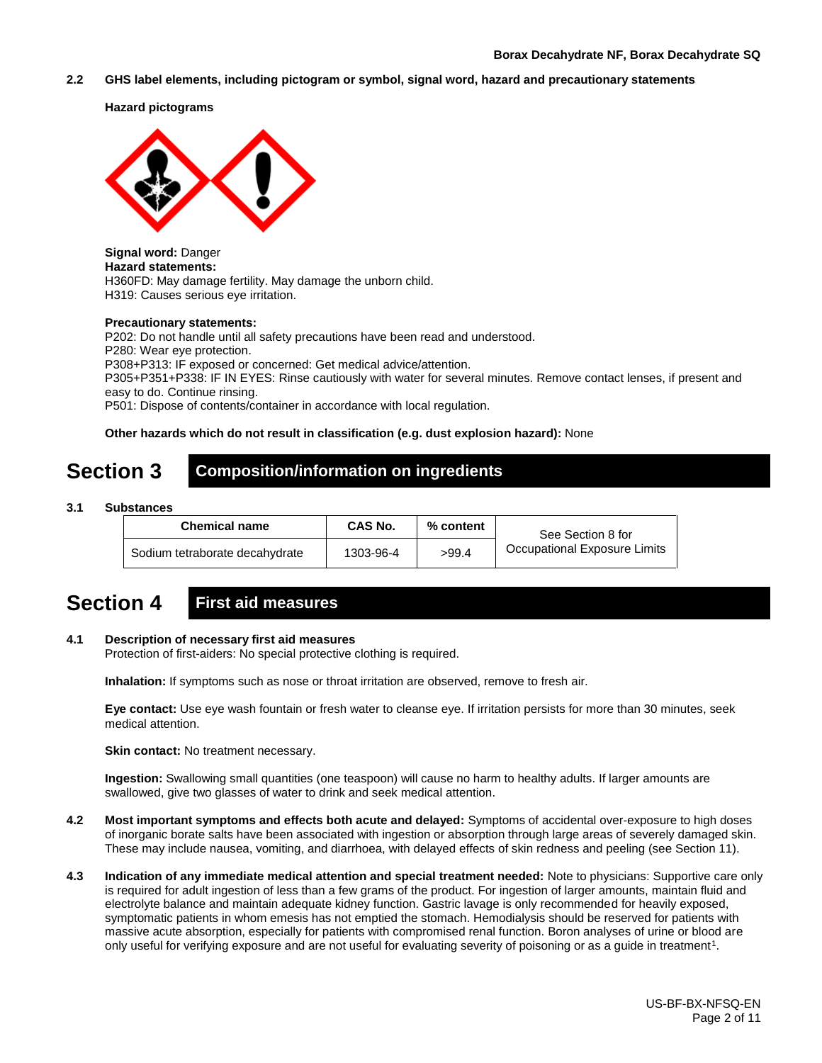**2.2 GHS label elements, including pictogram or symbol, signal word, hazard and precautionary statements** 

**Hazard pictograms**



**Signal word:** Danger **Hazard statements:**  H360FD: May damage fertility. May damage the unborn child. H319: Causes serious eye irritation.

#### **Precautionary statements:**

P202: Do not handle until all safety precautions have been read and understood. P280: Wear eye protection. P308+P313: IF exposed or concerned: Get medical advice/attention. P305+P351+P338: IF IN EYES: Rinse cautiously with water for several minutes. Remove contact lenses, if present and easy to do. Continue rinsing. P501: Dispose of contents/container in accordance with local regulation.

### **Other hazards which do not result in classification (e.g. dust explosion hazard):** None

## **Section 3 Composition/information on ingredients**

**3.1 Substances**

| <b>Chemical name</b>           | <b>CAS No.</b> | % content | See Section 8 for            |
|--------------------------------|----------------|-----------|------------------------------|
| Sodium tetraborate decahydrate | 1303-96-4      | >99.4     | Occupational Exposure Limits |

# **Section 4 First aid measures**

#### **4.1 Description of necessary first aid measures**

Protection of first-aiders: No special protective clothing is required.

**Inhalation:** If symptoms such as nose or throat irritation are observed, remove to fresh air.

**Eye contact:** Use eye wash fountain or fresh water to cleanse eye. If irritation persists for more than 30 minutes, seek medical attention.

**Skin contact:** No treatment necessary.

**Ingestion:** Swallowing small quantities (one teaspoon) will cause no harm to healthy adults. If larger amounts are swallowed, give two glasses of water to drink and seek medical attention.

- **4.2 Most important symptoms and effects both acute and delayed:** Symptoms of accidental over-exposure to high doses of inorganic borate salts have been associated with ingestion or absorption through large areas of severely damaged skin. These may include nausea, vomiting, and diarrhoea, with delayed effects of skin redness and peeling (see Section 11).
- **4.3 Indication of any immediate medical attention and special treatment needed:** Note to physicians: Supportive care only is required for adult ingestion of less than a few grams of the product. For ingestion of larger amounts, maintain fluid and electrolyte balance and maintain adequate kidney function. Gastric lavage is only recommended for heavily exposed, symptomatic patients in whom emesis has not emptied the stomach. Hemodialysis should be reserved for patients with massive acute absorption, especially for patients with compromised renal function. Boron analyses of urine or blood are only useful for verifying exposure and are not useful for evaluating severity of poisoning or as a guide in treatment<sup>1</sup>.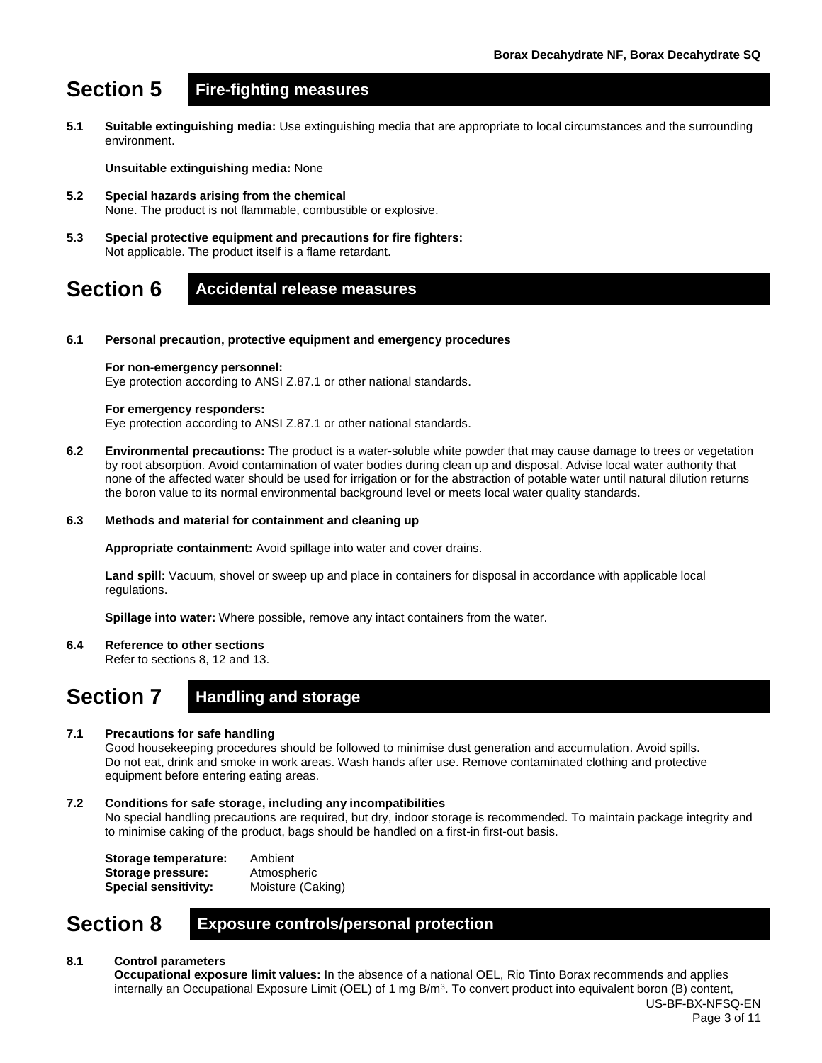# **Section 5 Fire-fighting measures**

**5.1 Suitable extinguishing media:** Use extinguishing media that are appropriate to local circumstances and the surrounding environment.

**Unsuitable extinguishing media:** None

- **5.2 Special hazards arising from the chemical** None. The product is not flammable, combustible or explosive.
- **5.3 Special protective equipment and precautions for fire fighters:**  Not applicable. The product itself is a flame retardant.

### **Section 6 Accidental release measures**

**6.1 Personal precaution, protective equipment and emergency procedures**

#### **For non-emergency personnel:**

Eye protection according to ANSI Z.87.1 or other national standards.

#### **For emergency responders:**

Eye protection according to ANSI Z.87.1 or other national standards.

**6.2 Environmental precautions:** The product is a water-soluble white powder that may cause damage to trees or vegetation by root absorption. Avoid contamination of water bodies during clean up and disposal. Advise local water authority that none of the affected water should be used for irrigation or for the abstraction of potable water until natural dilution returns the boron value to its normal environmental background level or meets local water quality standards.

#### **6.3 Methods and material for containment and cleaning up**

**Appropriate containment:** Avoid spillage into water and cover drains.

**Land spill:** Vacuum, shovel or sweep up and place in containers for disposal in accordance with applicable local regulations.

**Spillage into water:** Where possible, remove any intact containers from the water.

**6.4 Reference to other sections**

Refer to sections 8, 12 and 13.

# **Section 7 Handling and storage**

#### **7.1 Precautions for safe handling**

Good housekeeping procedures should be followed to minimise dust generation and accumulation. Avoid spills. Do not eat, drink and smoke in work areas. Wash hands after use. Remove contaminated clothing and protective equipment before entering eating areas.

#### **7.2 Conditions for safe storage, including any incompatibilities**

No special handling precautions are required, but dry, indoor storage is recommended. To maintain package integrity and to minimise caking of the product, bags should be handled on a first-in first-out basis.

**Storage temperature:** Ambient **Storage pressure:** Atmospheric **Special sensitivity:** Moisture (Caking)

### **Section 8 Exposure controls/personal protection**

#### **8.1 Control parameters**

US-BF-BX-NFSQ-EN **Occupational exposure limit values:** In the absence of a national OEL, Rio Tinto Borax recommends and applies internally an Occupational Exposure Limit (OEL) of 1 mg B/m<sup>3</sup>. To convert product into equivalent boron (B) content,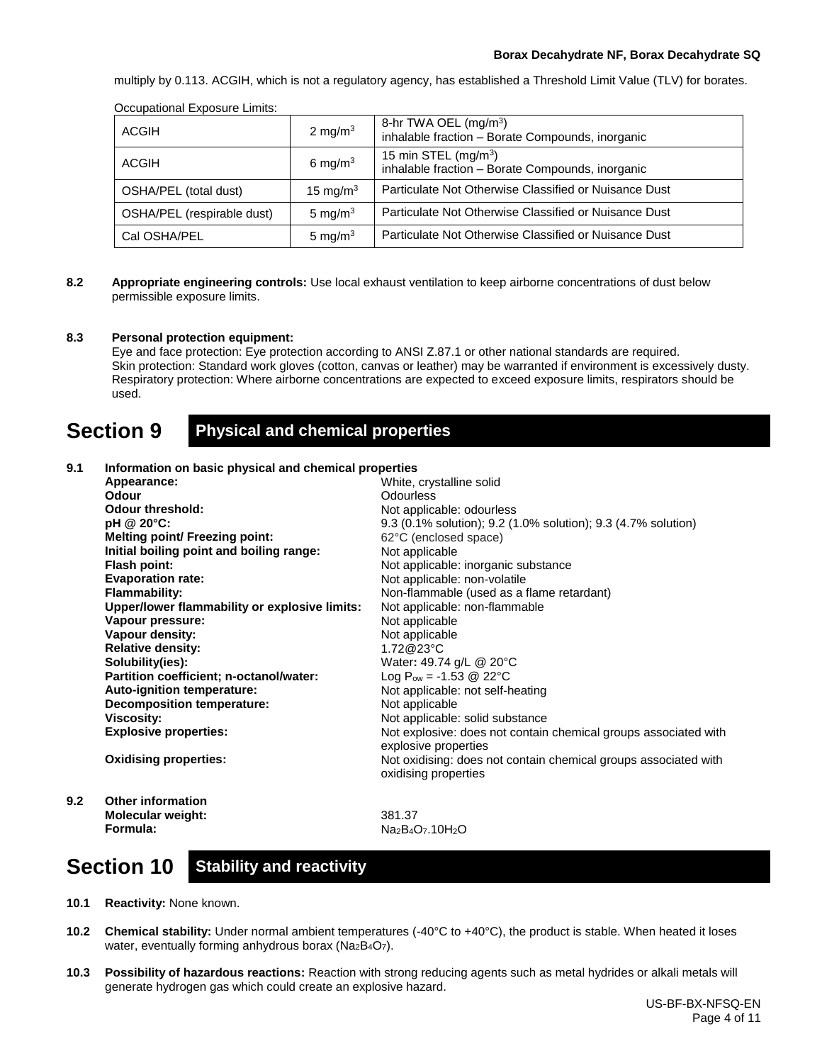multiply by 0.113. ACGIH, which is not a regulatory agency, has established a Threshold Limit Value (TLV) for borates.

| Occupational Exposure Elimits. |             |                                                                                       |  |  |
|--------------------------------|-------------|---------------------------------------------------------------------------------------|--|--|
| <b>ACGIH</b>                   | 2 mg/m $3$  | 8-hr TWA OEL (mg/m <sup>3</sup> )<br>inhalable fraction - Borate Compounds, inorganic |  |  |
| <b>ACGIH</b>                   | 6 mg/m $3$  | 15 min STEL $(mg/m3)$<br>inhalable fraction - Borate Compounds, inorganic             |  |  |
| OSHA/PEL (total dust)          | 15 mg/m $3$ | Particulate Not Otherwise Classified or Nuisance Dust                                 |  |  |
| OSHA/PEL (respirable dust)     | 5 mg/m $3$  | Particulate Not Otherwise Classified or Nuisance Dust                                 |  |  |
| Cal OSHA/PEL                   | 5 mg/m $3$  | Particulate Not Otherwise Classified or Nuisance Dust                                 |  |  |

Occupational Exposure Limits:

**8.2 Appropriate engineering controls:** Use local exhaust ventilation to keep airborne concentrations of dust below permissible exposure limits.

#### **8.3 Personal protection equipment:**

Eye and face protection: Eye protection according to ANSI Z.87.1 or other national standards are required. Skin protection: Standard work gloves (cotton, canvas or leather) may be warranted if environment is excessively dusty. Respiratory protection: Where airborne concentrations are expected to exceed exposure limits, respirators should be used.

### **Section 9 Physical and chemical properties**

#### **9.1 Information on basic physical and chemical properties Appearance: Odour Odour threshold: pH @ 20°C: Melting point/ Freezing point: Initial boiling point and boiling range: Flash point: Evaporation rate: Flammability: Upper/lower flammability or explosive limits: Vapour pressure: Vapour density: Relative density: Solubility(ies): Partition coefficient; n-octanol/water: Auto-ignition temperature: Decomposition temperature: Viscosity: Explosive properties: Oxidising properties:** White, crystalline solid **Odourless** Not applicable: odourless 9.3 (0.1% solution); 9.2 (1.0% solution); 9.3 (4.7% solution) 62°C (enclosed space) Not applicable Not applicable: inorganic substance Not applicable: non-volatile Non-flammable (used as a flame retardant) Not applicable: non-flammable Not applicable Not applicable 1.72@23°C Water**:** 49.74 g/L @ 20°C Log  $P_{ow} = -1.53 \text{ @ } 22^{\circ}C$ Not applicable: not self-heating Not applicable Not applicable: solid substance Not explosive: does not contain chemical groups associated with explosive properties Not oxidising: does not contain chemical groups associated with oxidising properties **9.2 Other information Molecular weight: Formula:** 381.37 Na<sub>2</sub>B<sub>4</sub>O<sub>7</sub>.10H<sub>2</sub>O

# **Section 10 Stability and reactivity**

- **10.1 Reactivity:** None known.
- **10.2 Chemical stability:** Under normal ambient temperatures (-40°C to +40°C), the product is stable. When heated it loses water, eventually forming anhydrous borax (Na<sub>2</sub>B<sub>4</sub>O<sub>7</sub>).
- **10.3 Possibility of hazardous reactions:** Reaction with strong reducing agents such as metal hydrides or alkali metals will generate hydrogen gas which could create an explosive hazard.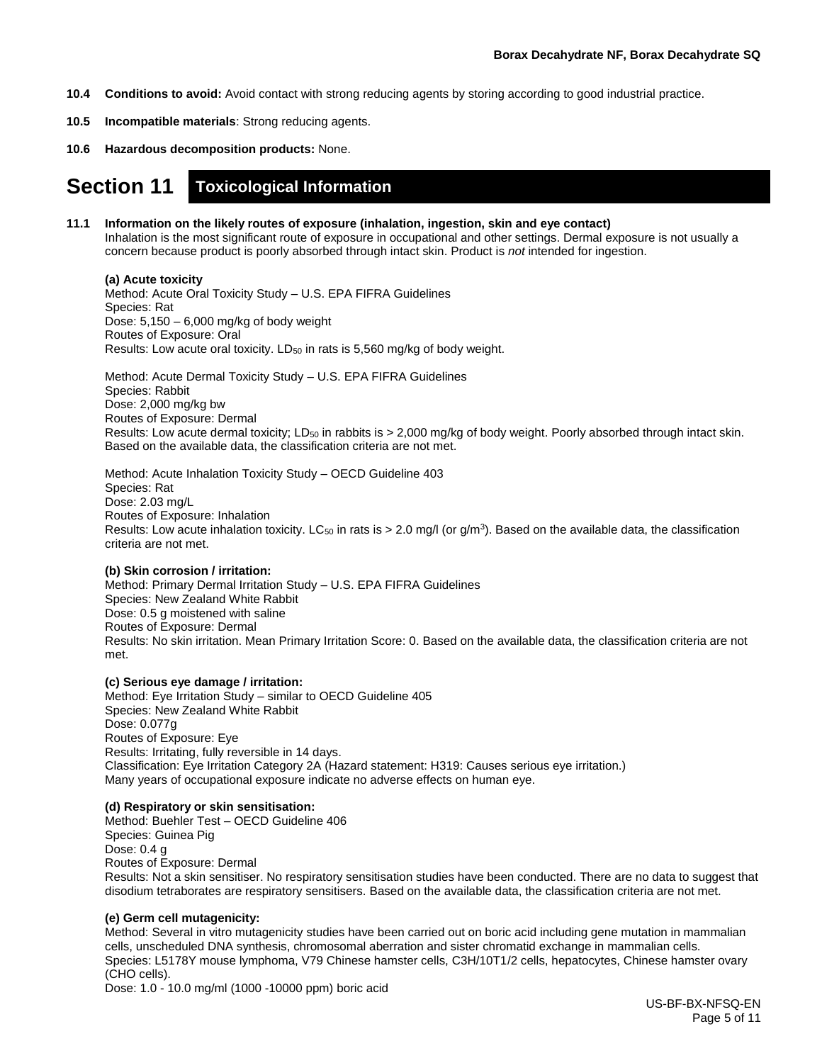- **10.4 Conditions to avoid:** Avoid contact with strong reducing agents by storing according to good industrial practice.
- **10.5 Incompatible materials**: Strong reducing agents.
- **10.6 Hazardous decomposition products:** None.

### **Section 11 Toxicological Information**

#### **11.1 Information on the likely routes of exposure (inhalation, ingestion, skin and eye contact)**

Inhalation is the most significant route of exposure in occupational and other settings. Dermal exposure is not usually a concern because product is poorly absorbed through intact skin. Product is *not* intended for ingestion.

#### **(a) Acute toxicity**

Method: Acute Oral Toxicity Study – U.S. EPA FIFRA Guidelines Species: Rat Dose: 5,150 – 6,000 mg/kg of body weight Routes of Exposure: Oral Results: Low acute oral toxicity. LD<sub>50</sub> in rats is 5,560 mg/kg of body weight.

Method: Acute Dermal Toxicity Study – U.S. EPA FIFRA Guidelines Species: Rabbit Dose: 2,000 mg/kg bw Routes of Exposure: Dermal Results: Low acute dermal toxicity; LD<sub>50</sub> in rabbits is > 2,000 mg/kg of body weight. Poorly absorbed through intact skin. Based on the available data, the classification criteria are not met.

Method: Acute Inhalation Toxicity Study – OECD Guideline 403 Species: Rat Dose: 2.03 mg/L Routes of Exposure: Inhalation Results: Low acute inhalation toxicity. LC<sub>50</sub> in rats is  $> 2.0$  mg/l (or g/m<sup>3</sup>). Based on the available data, the classification criteria are not met.

#### **(b) Skin corrosion / irritation:**

Method: Primary Dermal Irritation Study – U.S. EPA FIFRA Guidelines Species: New Zealand White Rabbit Dose: 0.5 g moistened with saline Routes of Exposure: Dermal Results: No skin irritation. Mean Primary Irritation Score: 0. Based on the available data, the classification criteria are not met.

#### **(c) Serious eye damage / irritation:**

Method: Eye Irritation Study – similar to OECD Guideline 405 Species: New Zealand White Rabbit Dose: 0.077g Routes of Exposure: Eye Results: Irritating, fully reversible in 14 days. Classification: Eye Irritation Category 2A (Hazard statement: H319: Causes serious eye irritation.) Many years of occupational exposure indicate no adverse effects on human eye.

#### **(d) Respiratory or skin sensitisation:**

Method: Buehler Test – OECD Guideline 406 Species: Guinea Pig Dose: 0.4 g Routes of Exposure: Dermal Results: Not a skin sensitiser. No respiratory sensitisation studies have been conducted. There are no data to suggest that disodium tetraborates are respiratory sensitisers. Based on the available data, the classification criteria are not met.

#### **(e) Germ cell mutagenicity:**

Method: Several in vitro mutagenicity studies have been carried out on boric acid including gene mutation in mammalian cells, unscheduled DNA synthesis, chromosomal aberration and sister chromatid exchange in mammalian cells. Species: L5178Y mouse lymphoma, V79 Chinese hamster cells, C3H/10T1/2 cells, hepatocytes, Chinese hamster ovary (CHO cells).

Dose: 1.0 - 10.0 mg/ml (1000 -10000 ppm) boric acid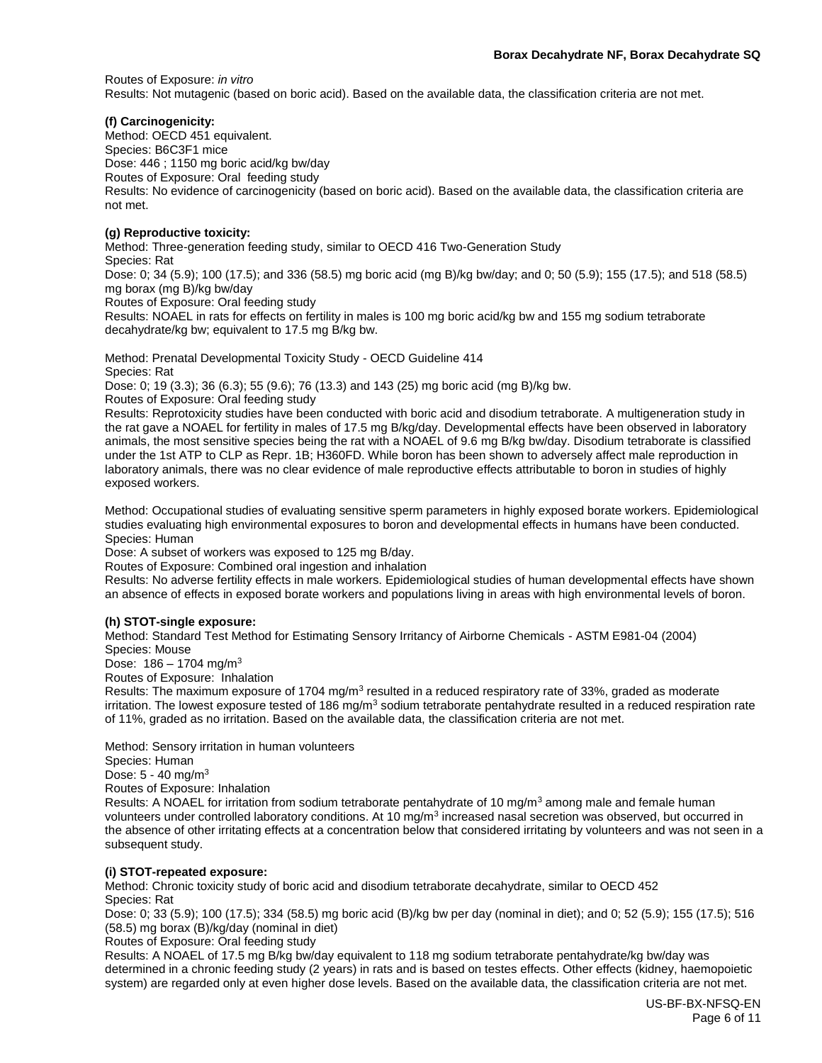Routes of Exposure: *in vitro* Results: Not mutagenic (based on boric acid). Based on the available data, the classification criteria are not met.

#### **(f) Carcinogenicity:**

Method: OECD 451 equivalent. Species: B6C3F1 mice Dose: 446 ; 1150 mg boric acid/kg bw/day Routes of Exposure: Oral feeding study Results: No evidence of carcinogenicity (based on boric acid). Based on the available data, the classification criteria are not met.

#### **(g) Reproductive toxicity:**

Method: Three-generation feeding study, similar to OECD 416 Two-Generation Study

Species: Rat

Dose: 0; 34 (5.9); 100 (17.5); and 336 (58.5) mg boric acid (mg B)/kg bw/day; and 0; 50 (5.9); 155 (17.5); and 518 (58.5) mg borax (mg B)/kg bw/day

Routes of Exposure: Oral feeding study

Results: NOAEL in rats for effects on fertility in males is 100 mg boric acid/kg bw and 155 mg sodium tetraborate decahydrate/kg bw; equivalent to 17.5 mg B/kg bw.

Method: Prenatal Developmental Toxicity Study - OECD Guideline 414 Species: Rat

Dose: 0; 19 (3.3); 36 (6.3); 55 (9.6); 76 (13.3) and 143 (25) mg boric acid (mg B)/kg bw.

Routes of Exposure: Oral feeding study

Results: Reprotoxicity studies have been conducted with boric acid and disodium tetraborate. A multigeneration study in the rat gave a NOAEL for fertility in males of 17.5 mg B/kg/day. Developmental effects have been observed in laboratory animals, the most sensitive species being the rat with a NOAEL of 9.6 mg B/kg bw/day. Disodium tetraborate is classified under the 1st ATP to CLP as Repr. 1B; H360FD. While boron has been shown to adversely affect male reproduction in laboratory animals, there was no clear evidence of male reproductive effects attributable to boron in studies of highly exposed workers.

Method: Occupational studies of evaluating sensitive sperm parameters in highly exposed borate workers. Epidemiological studies evaluating high environmental exposures to boron and developmental effects in humans have been conducted. Species: Human

Dose: A subset of workers was exposed to 125 mg B/day.

Routes of Exposure: Combined oral ingestion and inhalation

Results: No adverse fertility effects in male workers. Epidemiological studies of human developmental effects have shown an absence of effects in exposed borate workers and populations living in areas with high environmental levels of boron.

#### **(h) STOT-single exposure:**

Method: Standard Test Method for Estimating Sensory Irritancy of Airborne Chemicals - ASTM E981-04 (2004) Species: Mouse

Dose:  $186 - 1704$  mg/m<sup>3</sup>

Routes of Exposure: Inhalation

Results: The maximum exposure of 1704 mg/m<sup>3</sup> resulted in a reduced respiratory rate of 33%, graded as moderate irritation. The lowest exposure tested of 186 mg/m<sup>3</sup> sodium tetraborate pentahydrate resulted in a reduced respiration rate of 11%, graded as no irritation. Based on the available data, the classification criteria are not met.

Method: Sensory irritation in human volunteers

Species: Human

Dose: 5 - 40 mg/m<sup>3</sup>

Routes of Exposure: Inhalation

Results: A NOAEL for irritation from sodium tetraborate pentahydrate of 10 mg/m<sup>3</sup> among male and female human volunteers under controlled laboratory conditions. At 10 mg/m<sup>3</sup> increased nasal secretion was observed, but occurred in the absence of other irritating effects at a concentration below that considered irritating by volunteers and was not seen in a subsequent study.

#### **(i) STOT-repeated exposure:**

Method: Chronic toxicity study of boric acid and disodium tetraborate decahydrate, similar to OECD 452 Species: Rat

Dose: 0; 33 (5.9); 100 (17.5); 334 (58.5) mg boric acid (B)/kg bw per day (nominal in diet); and 0; 52 (5.9); 155 (17.5); 516 (58.5) mg borax (B)/kg/day (nominal in diet)

Routes of Exposure: Oral feeding study

Results: A NOAEL of 17.5 mg B/kg bw/day equivalent to 118 mg sodium tetraborate pentahydrate/kg bw/day was determined in a chronic feeding study (2 years) in rats and is based on testes effects. Other effects (kidney, haemopoietic system) are regarded only at even higher dose levels. Based on the available data, the classification criteria are not met.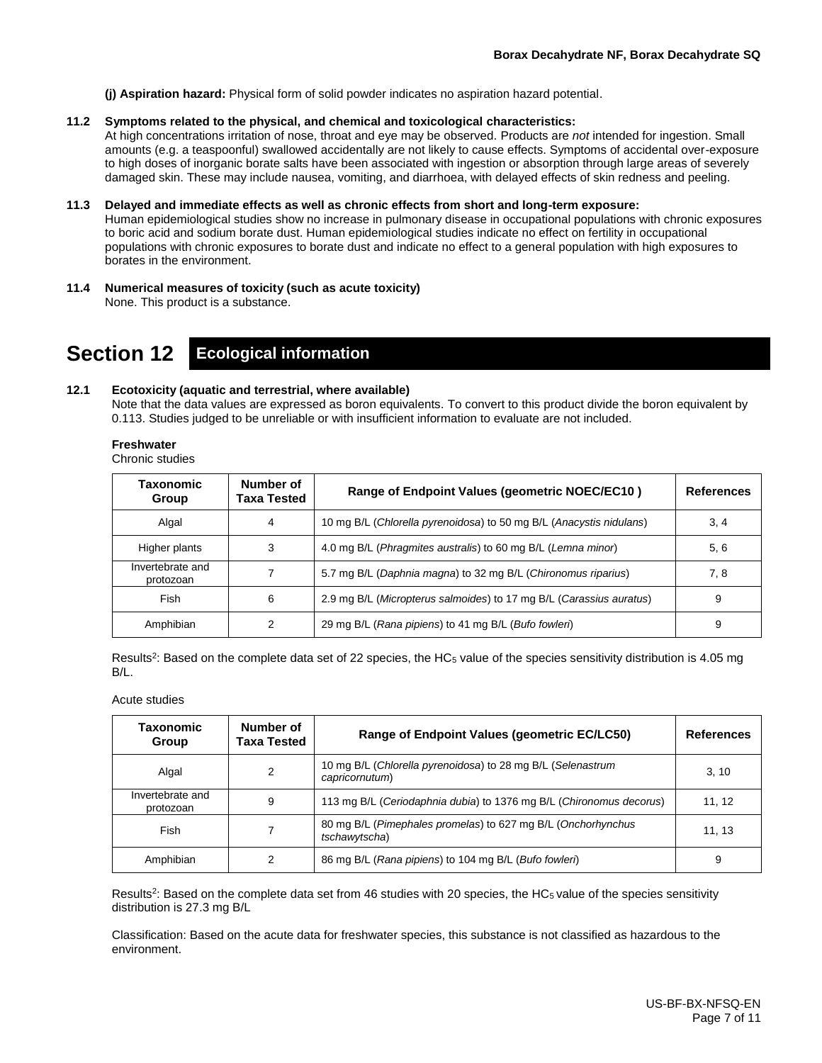**(j) Aspiration hazard:** Physical form of solid powder indicates no aspiration hazard potential.

#### **11.2 Symptoms related to the physical, and chemical and toxicological characteristics:**

At high concentrations irritation of nose, throat and eye may be observed. Products are *not* intended for ingestion. Small amounts (e.g. a teaspoonful) swallowed accidentally are not likely to cause effects. Symptoms of accidental over-exposure to high doses of inorganic borate salts have been associated with ingestion or absorption through large areas of severely damaged skin. These may include nausea, vomiting, and diarrhoea, with delayed effects of skin redness and peeling.

#### **11.3 Delayed and immediate effects as well as chronic effects from short and long-term exposure:**

Human epidemiological studies show no increase in pulmonary disease in occupational populations with chronic exposures to boric acid and sodium borate dust. Human epidemiological studies indicate no effect on fertility in occupational populations with chronic exposures to borate dust and indicate no effect to a general population with high exposures to borates in the environment.

**11.4 Numerical measures of toxicity (such as acute toxicity)** None. This product is a substance.

**Section 12 Ecological information**

#### **12.1 Ecotoxicity (aquatic and terrestrial, where available)**

Note that the data values are expressed as boron equivalents. To convert to this product divide the boron equivalent by 0.113. Studies judged to be unreliable or with insufficient information to evaluate are not included.

#### **Freshwater**

Chronic studies

| Taxonomic<br>Group            | Number of<br>Taxa Tested                                          | Range of Endpoint Values (geometric NOEC/EC10)                      | <b>References</b> |
|-------------------------------|-------------------------------------------------------------------|---------------------------------------------------------------------|-------------------|
| Algal                         | 4                                                                 | 10 mg B/L (Chlorella pyrenoidosa) to 50 mg B/L (Anacystis nidulans) | 3, 4              |
| Higher plants                 | 4.0 mg B/L (Phragmites australis) to 60 mg B/L (Lemna minor)<br>3 |                                                                     | 5, 6              |
| Invertebrate and<br>protozoan |                                                                   | 5.7 mg B/L (Daphnia magna) to 32 mg B/L (Chironomus riparius)       | 7, 8              |
| Fish                          | 6                                                                 | 2.9 mg B/L (Micropterus salmoides) to 17 mg B/L (Carassius auratus) | 9                 |
| Amphibian                     | 2                                                                 | 29 mg B/L (Rana pipiens) to 41 mg B/L (Bufo fowleri)                | 9                 |

Results<sup>2</sup>: Based on the complete data set of 22 species, the HC<sub>5</sub> value of the species sensitivity distribution is 4.05 mg B/L.

Acute studies

| Taxonomic<br>Group                                                                    | Number of<br>Taxa Tested | Range of Endpoint Values (geometric EC/LC50)                                  | <b>References</b> |
|---------------------------------------------------------------------------------------|--------------------------|-------------------------------------------------------------------------------|-------------------|
| Algal                                                                                 | 2                        | 10 mg B/L (Chlorella pyrenoidosa) to 28 mg B/L (Selenastrum<br>capricornutum) | 3, 10             |
| Invertebrate and<br>protozoan                                                         | 9                        | 113 mg B/L (Ceriodaphnia dubia) to 1376 mg B/L (Chironomus decorus)           | 11, 12            |
| 80 mg B/L (Pimephales promelas) to 627 mg B/L (Onchorhynchus<br>Fish<br>tschawytscha) |                          | 11, 13                                                                        |                   |
| Amphibian                                                                             | 2                        | 86 mg B/L (Rana pipiens) to 104 mg B/L (Bufo fowleri)                         | 9                 |

Results<sup>2</sup>: Based on the complete data set from 46 studies with 20 species, the HC<sub>5</sub> value of the species sensitivity distribution is 27.3 mg B/L

Classification: Based on the acute data for freshwater species, this substance is not classified as hazardous to the environment.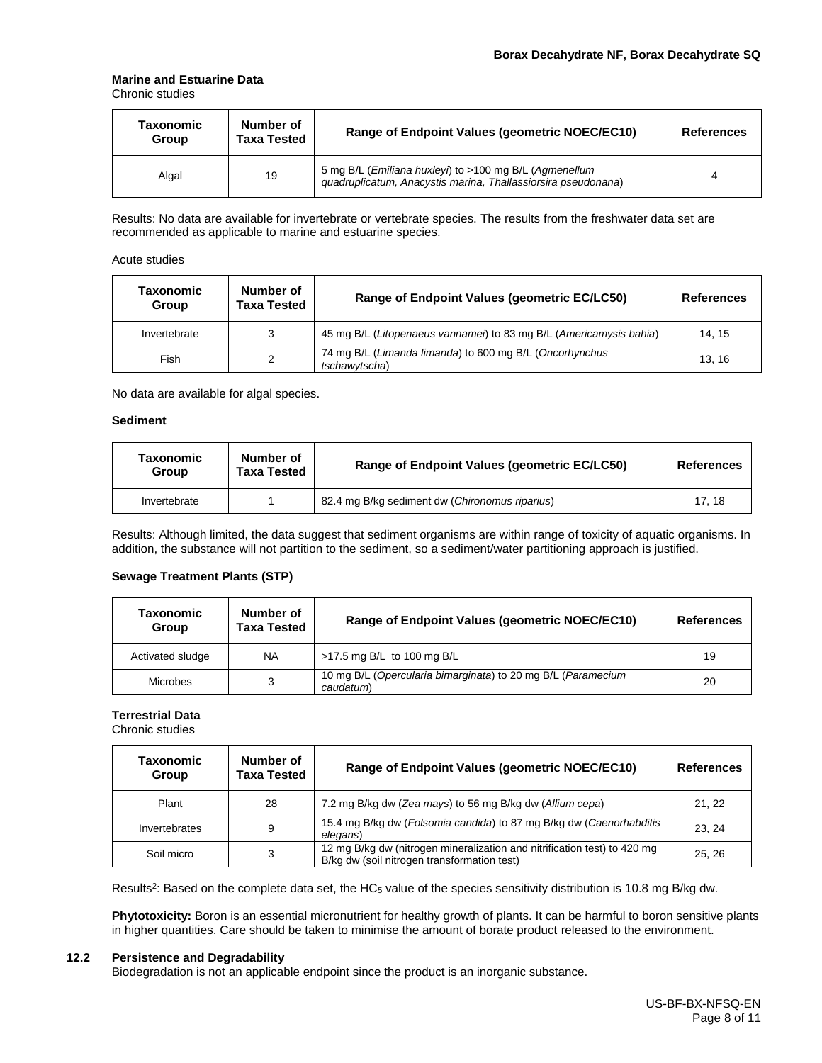#### **Marine and Estuarine Data**

Chronic studies

| Taxonomic<br>Group | Number of<br><b>Taxa Tested</b> | Range of Endpoint Values (geometric NOEC/EC10)                                                                          | <b>References</b> |
|--------------------|---------------------------------|-------------------------------------------------------------------------------------------------------------------------|-------------------|
| Algal              | 19                              | 5 mg B/L (Emiliana huxleyi) to >100 mg B/L (Agmenellum<br>guadruplicatum, Anacystis marina, Thallassiorsira pseudonana) |                   |

Results: No data are available for invertebrate or vertebrate species. The results from the freshwater data set are recommended as applicable to marine and estuarine species.

#### Acute studies

| Taxonomic<br>Group | Number of<br>Taxa Tested | Range of Endpoint Values (geometric EC/LC50)                             | <b>References</b> |
|--------------------|--------------------------|--------------------------------------------------------------------------|-------------------|
| Invertebrate       | 3                        | 45 mg B/L (Litopenaeus vannamei) to 83 mg B/L (Americamysis bahia)       | 14.15             |
| Fish               | 2                        | 74 mg B/L (Limanda limanda) to 600 mg B/L (Oncorhynchus<br>tschawytscha) | 13.16             |

No data are available for algal species.

#### **Sediment**

| Taxonomic<br>Group | Number of<br>Taxa Tested | Range of Endpoint Values (geometric EC/LC50)   | References |
|--------------------|--------------------------|------------------------------------------------|------------|
| Invertebrate       |                          | 82.4 mg B/kg sediment dw (Chironomus riparius) | 17.18      |

Results: Although limited, the data suggest that sediment organisms are within range of toxicity of aquatic organisms. In addition, the substance will not partition to the sediment, so a sediment/water partitioning approach is justified.

#### **Sewage Treatment Plants (STP)**

| Taxonomic<br>Group | Number of<br><b>Taxa Tested</b> | Range of Endpoint Values (geometric NOEC/EC10)                            | <b>References</b> |
|--------------------|---------------------------------|---------------------------------------------------------------------------|-------------------|
| Activated sludge   | <b>NA</b>                       | >17.5 mg B/L to 100 mg B/L                                                | 19                |
| <b>Microbes</b>    | 3                               | 10 mg B/L (Opercularia bimarginata) to 20 mg B/L (Paramecium<br>caudatum) | 20                |

#### **Terrestrial Data**

Chronic studies

| Taxonomic<br>Group | Number of<br><b>Taxa Tested</b> | Range of Endpoint Values (geometric NOEC/EC10)                                                                          | <b>References</b> |
|--------------------|---------------------------------|-------------------------------------------------------------------------------------------------------------------------|-------------------|
| Plant              | 28                              | 7.2 mg B/kg dw (Zea mays) to 56 mg B/kg dw (Allium cepa)                                                                | 21, 22            |
| Invertebrates      | 9                               | 15.4 mg B/kg dw (Folsomia candida) to 87 mg B/kg dw (Caenorhabditis<br>elegans)                                         | 23.24             |
| Soil micro         | 3                               | 12 mg B/kg dw (nitrogen mineralization and nitrification test) to 420 mg<br>B/kg dw (soil nitrogen transformation test) | 25.26             |

Results<sup>2</sup>: Based on the complete data set, the HC<sub>5</sub> value of the species sensitivity distribution is 10.8 mg B/kg dw.

**Phytotoxicity:** Boron is an essential micronutrient for healthy growth of plants. It can be harmful to boron sensitive plants in higher quantities. Care should be taken to minimise the amount of borate product released to the environment.

#### **12.2 Persistence and Degradability**

Biodegradation is not an applicable endpoint since the product is an inorganic substance.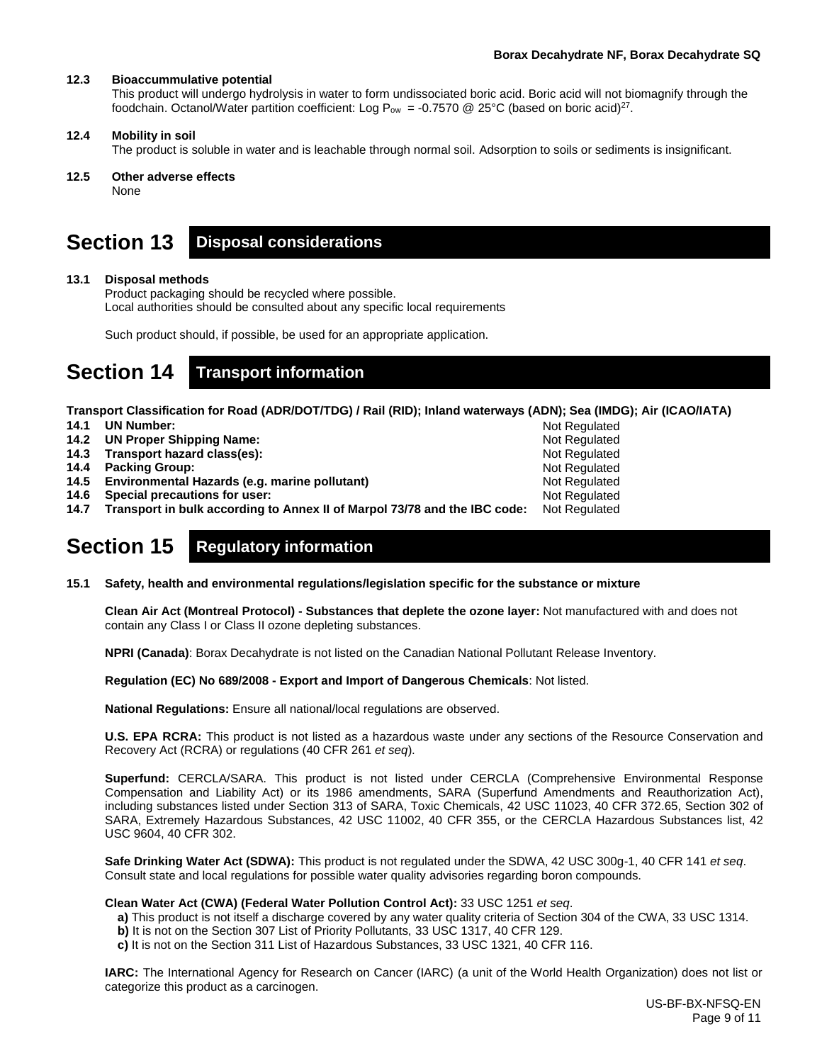Not Regulated Not Regulated Not Regulated Not Regulated Not Regulated Not Regulated

#### **12.3 Bioaccummulative potential**

This product will undergo hydrolysis in water to form undissociated boric acid. Boric acid will not biomagnify through the foodchain. Octanol/Water partition coefficient: Log P<sub>ow</sub> = -0.7570 @ 25°C (based on boric acid)<sup>27</sup>.

#### **12.4 Mobility in soil**

The product is soluble in water and is leachable through normal soil. Adsorption to soils or sediments is insignificant.

#### **12.5 Other adverse effects**

None

### **Section 13 Disposal considerations**

#### **13.1 Disposal methods**

Product packaging should be recycled where possible. Local authorities should be consulted about any specific local requirements

Such product should, if possible, be used for an appropriate application.

# **Section 14 Transport information**

**Transport Classification for Road (ADR/DOT/TDG) / Rail (RID); Inland waterways (ADN); Sea (IMDG); Air (ICAO/IATA)**

- **14.1 UN Number:**
- **14.2 UN Proper Shipping Name:**
- **14.3 Transport hazard class(es):**
- **14.4 Packing Group:**
- **14.5 Environmental Hazards (e.g. marine pollutant)**
- **14.6 Special precautions for user:**
- **14.7 Transport in bulk according to Annex II of Marpol 73/78 and the IBC code:** Not Regulated

# **Section 15 Regulatory information**

**15.1 Safety, health and environmental regulations/legislation specific for the substance or mixture**

**Clean Air Act (Montreal Protocol) - Substances that deplete the ozone layer:** Not manufactured with and does not contain any Class I or Class II ozone depleting substances.

**NPRI (Canada)**: Borax Decahydrate is not listed on the Canadian National Pollutant Release Inventory.

#### **Regulation (EC) No 689/2008 - Export and Import of Dangerous Chemicals**: Not listed.

**National Regulations:** Ensure all national/local regulations are observed.

**U.S. EPA RCRA:** This product is not listed as a hazardous waste under any sections of the Resource Conservation and Recovery Act (RCRA) or regulations (40 CFR 261 *et seq*).

**Superfund:** CERCLA/SARA. This product is not listed under CERCLA (Comprehensive Environmental Response Compensation and Liability Act) or its 1986 amendments, SARA (Superfund Amendments and Reauthorization Act), including substances listed under Section 313 of SARA, Toxic Chemicals, 42 USC 11023, 40 CFR 372.65, Section 302 of SARA, Extremely Hazardous Substances, 42 USC 11002, 40 CFR 355, or the CERCLA Hazardous Substances list, 42 USC 9604, 40 CFR 302.

**Safe Drinking Water Act (SDWA):** This product is not regulated under the SDWA, 42 USC 300g-1, 40 CFR 141 *et seq*. Consult state and local regulations for possible water quality advisories regarding boron compounds.

#### **Clean Water Act (CWA) (Federal Water Pollution Control Act):** 33 USC 1251 *et seq*.

- **a)** This product is not itself a discharge covered by any water quality criteria of Section 304 of the CWA, 33 USC 1314.
- **b)** It is not on the Section 307 List of Priority Pollutants, 33 USC 1317, 40 CFR 129.
- **c)** It is not on the Section 311 List of Hazardous Substances, 33 USC 1321, 40 CFR 116.

**IARC:** The International Agency for Research on Cancer (IARC) (a unit of the World Health Organization) does not list or categorize this product as a carcinogen.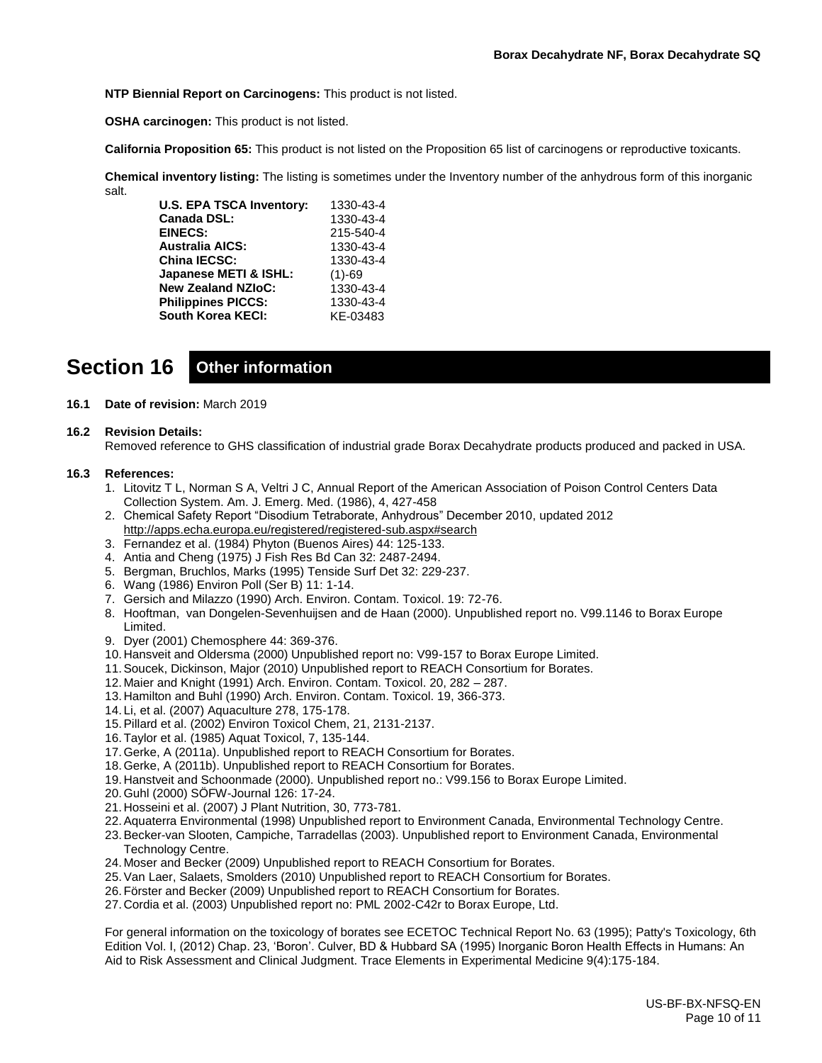**NTP Biennial Report on Carcinogens:** This product is not listed.

**OSHA carcinogen:** This product is not listed.

**California Proposition 65:** This product is not listed on the Proposition 65 list of carcinogens or reproductive toxicants.

**Chemical inventory listing:** The listing is sometimes under the Inventory number of the anhydrous form of this inorganic salt.

| <b>U.S. EPA TSCA Inventory:</b> | 1330-43-4 |
|---------------------------------|-----------|
| Canada DSL:                     | 1330-43-4 |
| <b>EINECS:</b>                  | 215-540-4 |
| <b>Australia AICS:</b>          | 1330-43-4 |
| <b>China IECSC:</b>             | 1330-43-4 |
| Japanese METI & ISHL:           | $(1)-69$  |
| <b>New Zealand NZIoC:</b>       | 1330-43-4 |
| <b>Philippines PICCS:</b>       | 1330-43-4 |
| <b>South Korea KECI:</b>        | KE-03483  |

# **Section 16 Other information**

#### **16.1 Date of revision:** March 2019

#### **16.2 Revision Details:**

Removed reference to GHS classification of industrial grade Borax Decahydrate products produced and packed in USA.

#### **16.3 References:**

- 1. Litovitz T L, Norman S A, Veltri J C, Annual Report of the American Association of Poison Control Centers Data Collection System. Am. J. Emerg. Med. (1986), 4, 427-458
- 2. Chemical Safety Report "Disodium Tetraborate, Anhydrous" December 2010, updated 2012 <http://apps.echa.europa.eu/registered/registered-sub.aspx#search>
- 3. Fernandez et al. (1984) Phyton (Buenos Aires) 44: 125-133.
- 4. Antia and Cheng (1975) J Fish Res Bd Can 32: 2487-2494.
- 5. Bergman, Bruchlos, Marks (1995) Tenside Surf Det 32: 229-237.
- 6. Wang (1986) Environ Poll (Ser B) 11: 1-14.
- 7. Gersich and Milazzo (1990) Arch. Environ. Contam. Toxicol. 19: 72-76.
- 8. Hooftman, van Dongelen-Sevenhuijsen and de Haan (2000). Unpublished report no. V99.1146 to Borax Europe Limited.
- 9. Dyer (2001) Chemosphere 44: 369-376.
- 10. Hansveit and Oldersma (2000) Unpublished report no: V99-157 to Borax Europe Limited.
- 11.Soucek, Dickinson, Major (2010) Unpublished report to REACH Consortium for Borates.
- 12. Maier and Knight (1991) Arch. Environ. Contam. Toxicol. 20, 282 287.
- 13. Hamilton and Buhl (1990) Arch. Environ. Contam. Toxicol. 19, 366-373.
- 14. Li, et al. (2007) Aquaculture 278, 175-178.
- 15.Pillard et al. (2002) Environ Toxicol Chem, 21, 2131-2137.
- 16.Taylor et al. (1985) Aquat Toxicol, 7, 135-144.
- 17.Gerke, A (2011a). Unpublished report to REACH Consortium for Borates.
- 18.Gerke, A (2011b). Unpublished report to REACH Consortium for Borates.
- 19. Hanstveit and Schoonmade (2000). Unpublished report no.: V99.156 to Borax Europe Limited.
- 20.Guhl (2000) SÖFW-Journal 126: 17-24.
- 21. Hosseini et al. (2007) J Plant Nutrition, 30, 773-781.
- 22.Aquaterra Environmental (1998) Unpublished report to Environment Canada, Environmental Technology Centre.
- 23.Becker-van Slooten, Campiche, Tarradellas (2003). Unpublished report to Environment Canada, Environmental Technology Centre.
- 24. Moser and Becker (2009) Unpublished report to REACH Consortium for Borates.
- 25.Van Laer, Salaets, Smolders (2010) Unpublished report to REACH Consortium for Borates.
- 26.Förster and Becker (2009) Unpublished report to REACH Consortium for Borates.
- 27. Cordia et al. (2003) Unpublished report no: PML 2002-C42r to Borax Europe, Ltd.

For general information on the toxicology of borates see ECETOC Technical Report No. 63 (1995); Patty's Toxicology, 6th Edition Vol. I, (2012) Chap. 23, 'Boron'. Culver, BD & Hubbard SA (1995) Inorganic Boron Health Effects in Humans: An Aid to Risk Assessment and Clinical Judgment. Trace Elements in Experimental Medicine 9(4):175-184.